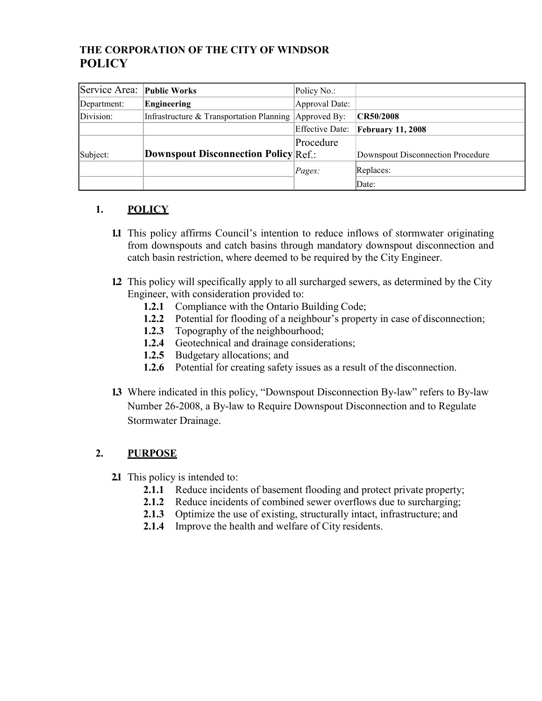## **THE CORPORATION OF THE CITY OF WINDSOR POLICY**

| Service Area: Public Works |                                                       | Policy No.:            |                                   |
|----------------------------|-------------------------------------------------------|------------------------|-----------------------------------|
| Department:                | Engineering                                           | Approval Date:         |                                   |
| Division:                  | Infrastructure & Transportation Planning Approved By: |                        | CR50/2008                         |
|                            |                                                       | <b>Effective Date:</b> | <b>February 11, 2008</b>          |
|                            |                                                       | Procedure              |                                   |
| Subject:                   | <b>Downspout Disconnection Policy Ref.:</b>           |                        | Downspout Disconnection Procedure |
|                            |                                                       | Pages:                 | Replaces:                         |
|                            |                                                       |                        | Date:                             |

#### **1. POLICY**

- **1.1** This policy affirms Council's intention to reduce inflows of stormwater originating from downspouts and catch basins through mandatory downspout disconnection and catch basin restriction, where deemed to be required by the City Engineer.
- **1.2** This policy will specifically apply to all surcharged sewers, as determined by the City Engineer, with consideration provided to:
	- **1.2.1** Compliance with the Ontario Building Code;
	- **1.2.2** Potential for flooding of a neighbour's property in case of disconnection;
	- **1.2.3** Topography of the neighbourhood;
	- **1.2.4** Geotechnical and drainage considerations;
	- **1.2.5** Budgetary allocations; and
	- **1.2.6** Potential for creating safety issues as a result of the disconnection.
- **1.3** Where indicated in this policy, "Downspout Disconnection By-law" refers to By-law Number 26-2008, a By-law to Require Downspout Disconnection and to Regulate Stormwater Drainage.

## **2. PURPOSE**

- **2.1** This policy is intended to:
	- **2.1.1** Reduce incidents of basement flooding and protect private property;
	- **2.1.2** Reduce incidents of combined sewer overflows due to surcharging;
	- **2.1.3** Optimize the use of existing, structurally intact, infrastructure; and
	- **2.1.4** Improve the health and welfare of City residents.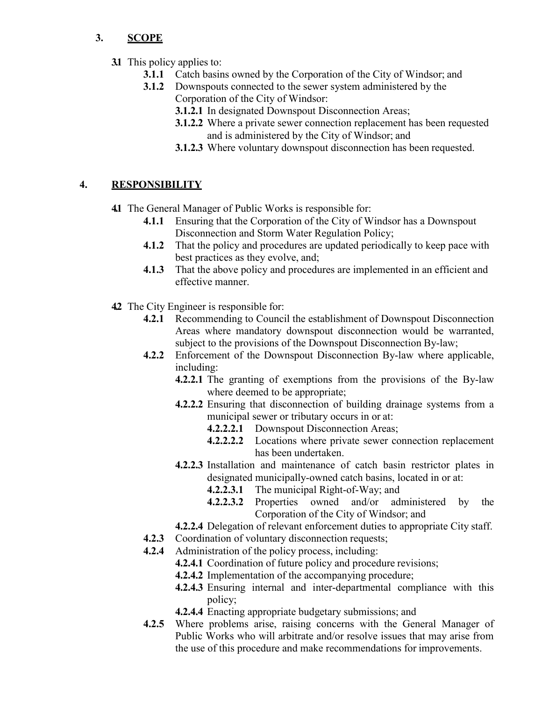### **3. SCOPE**

- **3.1** This policy applies to:
	- **3.1.1** Catch basins owned by the Corporation of the City of Windsor; and
	- **3.1.2** Downspouts connected to the sewer system administered by the Corporation of the City of Windsor:
		- **3.1.2.1** In designated Downspout Disconnection Areas;
		- **3.1.2.2** Where a private sewer connection replacement has been requested and is administered by the City of Windsor; and
		- **3.1.2.3** Where voluntary downspout disconnection has been requested.

# **4. RESPONSIBILITY**

**4.1** The General Manager of Public Works is responsible for:

- **4.1.1** Ensuring that the Corporation of the City of Windsor has a Downspout Disconnection and Storm Water Regulation Policy;
- **4.1.2** That the policy and procedures are updated periodically to keep pace with best practices as they evolve, and;
- **4.1.3** That the above policy and procedures are implemented in an efficient and effective manner.
- **4.2** The City Engineer is responsible for:
	- **4.2.1** Recommending to Council the establishment of Downspout Disconnection Areas where mandatory downspout disconnection would be warranted, subject to the provisions of the Downspout Disconnection By-law;
	- **4.2.2** Enforcement of the Downspout Disconnection By-law where applicable, including:
		- **4.2.2.1** The granting of exemptions from the provisions of the By-law where deemed to be appropriate;
		- **4.2.2.2** Ensuring that disconnection of building drainage systems from a municipal sewer or tributary occurs in or at:
			- **4.2.2.2.1** Downspout Disconnection Areas;
			- **4.2.2.2.2** Locations where private sewer connection replacement has been undertaken.
		- **4.2.2.3** Installation and maintenance of catch basin restrictor plates in designated municipally-owned catch basins, located in or at:
			- **4.2.2.3.1** The municipal Right-of-Way; and
			- **4.2.2.3.2** Properties owned and/or administered by the Corporation of the City of Windsor; and
		- **4.2.2.4** Delegation of relevant enforcement duties to appropriate City staff.
	- **4.2.3** Coordination of voluntary disconnection requests;
	- **4.2.4** Administration of the policy process, including:
		- **4.2.4.1** Coordination of future policy and procedure revisions;
		- **4.2.4.2** Implementation of the accompanying procedure;
		- **4.2.4.3** Ensuring internal and inter-departmental compliance with this policy;
		- **4.2.4.4** Enacting appropriate budgetary submissions; and
	- **4.2.5** Where problems arise, raising concerns with the General Manager of Public Works who will arbitrate and/or resolve issues that may arise from the use of this procedure and make recommendations for improvements.